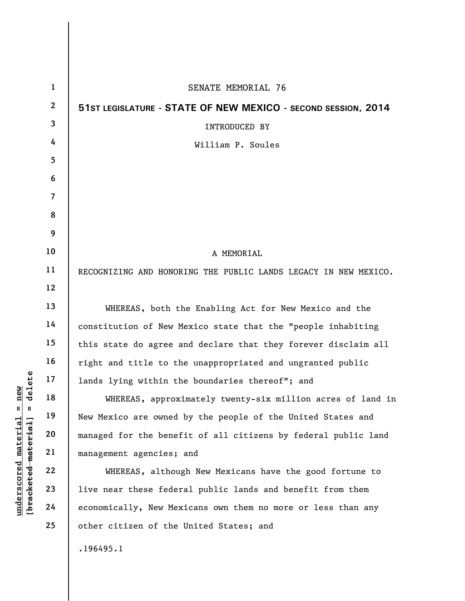| $\mathbf{1}$   | SENATE MEMORIAL 76                                              |
|----------------|-----------------------------------------------------------------|
| $\mathbf{2}$   | 51ST LEGISLATURE - STATE OF NEW MEXICO - SECOND SESSION, 2014   |
| 3              | <b>INTRODUCED BY</b>                                            |
| 4              | William P. Soules                                               |
| 5              |                                                                 |
| 6              |                                                                 |
| $\overline{7}$ |                                                                 |
| 8              |                                                                 |
| 9              |                                                                 |
| 10             | A MEMORIAL                                                      |
| 11             | RECOGNIZING AND HONORING THE PUBLIC LANDS LEGACY IN NEW MEXICO. |
| 12             |                                                                 |
| 13             | WHEREAS, both the Enabling Act for New Mexico and the           |
| 14             | constitution of New Mexico state that the "people inhabiting    |
| 15             | this state do agree and declare that they forever disclaim all  |
| 16             | right and title to the unappropriated and ungranted public      |
| 17             | lands lying within the boundaries thereof"; and                 |
| 18             | WHEREAS, approximately twenty-six million acres of land in      |
| 19             | New Mexico are owned by the people of the United States and     |
| 20             | managed for the benefit of all citizens by federal public land  |
| 21             | management agencies; and                                        |
| 22             | WHEREAS, although New Mexicans have the good fortune to         |
| 23             | live near these federal public lands and benefit from them      |
| 24             | economically, New Mexicans own them no more or less than any    |
| 25             | other citizen of the United States; and                         |
|                | .196495.1                                                       |

 $[**bracket eted metert et**] = **del et e**$ **[bracketed material] = delete**  $underscored material = new$ **underscored material = new**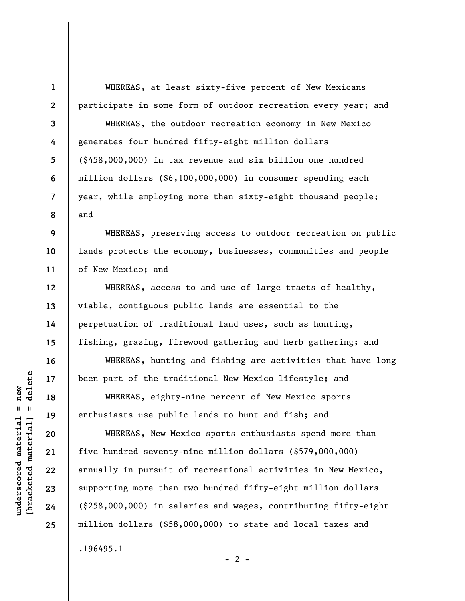WHEREAS, at least sixty-five percent of New Mexicans participate in some form of outdoor recreation every year; and WHEREAS, the outdoor recreation economy in New Mexico generates four hundred fifty-eight million dollars (\$458,000,000) in tax revenue and six billion one hundred million dollars (\$6,100,000,000) in consumer spending each year, while employing more than sixty-eight thousand people; and

**9 10 11**  WHEREAS, preserving access to outdoor recreation on public lands protects the economy, businesses, communities and people of New Mexico; and

WHEREAS, access to and use of large tracts of healthy, viable, contiguous public lands are essential to the perpetuation of traditional land uses, such as hunting, fishing, grazing, firewood gathering and herb gathering; and

WHEREAS, hunting and fishing are activities that have long been part of the traditional New Mexico lifestyle; and

WHEREAS, eighty-nine percent of New Mexico sports enthusiasts use public lands to hunt and fish; and

WHEREAS, New Mexico sports enthusiasts spend more than five hundred seventy-nine million dollars (\$579,000,000) annually in pursuit of recreational activities in New Mexico, supporting more than two hundred fifty-eight million dollars (\$258,000,000) in salaries and wages, contributing fifty-eight million dollars (\$58,000,000) to state and local taxes and .196495.1

 $\frac{1}{2}$  intereted material = delete **[bracketed material] = delete**  $underscored material = new$ **underscored material = new**

**1** 

**2** 

**3** 

**4** 

**5** 

**6** 

**7** 

**8** 

**12** 

**13** 

**14** 

**15** 

**16** 

**17** 

**18** 

**19** 

**20** 

**21** 

**22** 

**23** 

**24** 

**25** 

 $- 2 -$